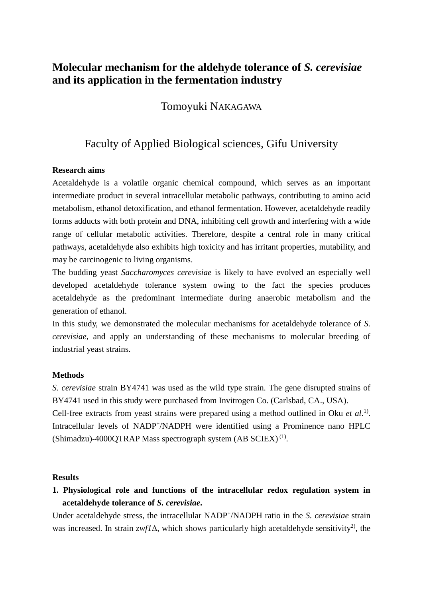# **Molecular mechanism for the aldehyde tolerance of** *S. cerevisiae* **and its application in the fermentation industry**

Tomoyuki NAKAGAWA

## Faculty of Applied Biological sciences, Gifu University

#### **Research aims**

Acetaldehyde is a volatile organic chemical compound, which serves as an important intermediate product in several intracellular metabolic pathways, contributing to amino acid metabolism, ethanol detoxification, and ethanol fermentation. However, acetaldehyde readily forms adducts with both protein and DNA, inhibiting cell growth and interfering with a wide range of cellular metabolic activities. Therefore, despite a central role in many critical pathways, acetaldehyde also exhibits high toxicity and has irritant properties, mutability, and may be carcinogenic to living organisms.

The budding yeast *Saccharomyces cerevisiae* is likely to have evolved an especially well developed acetaldehyde tolerance system owing to the fact the species produces acetaldehyde as the predominant intermediate during anaerobic metabolism and the generation of ethanol.

In this study, we demonstrated the molecular mechanisms for acetaldehyde tolerance of *S. cerevisiae*, and apply an understanding of these mechanisms to molecular breeding of industrial yeast strains.

#### **Methods**

*S. cerevisiae* strain BY4741 was used as the wild type strain. The gene disrupted strains of BY4741 used in this study were purchased from Invitrogen Co. (Carlsbad, CA., USA).

Cell-free extracts from yeast strains were prepared using a method outlined in Oku *et al*. 1). Intracellular levels of NADP<sup>+</sup>/NADPH were identified using a Prominence nano HPLC (Shimadzu)-4000QTRAP Mass spectrograph system  $(AB SCIEX)^{(1)}$ .

#### **Results**

**1. Physiological role and functions of the intracellular redox regulation system in acetaldehyde tolerance of** *S. cerevisiae***.** 

Under acetaldehyde stress, the intracellular NADP<sup>+</sup> /NADPH ratio in the *S. cerevisiae* strain was increased. In strain  $zwf/\Delta$ , which shows particularly high acetaldehyde sensitivity<sup>2</sup>, the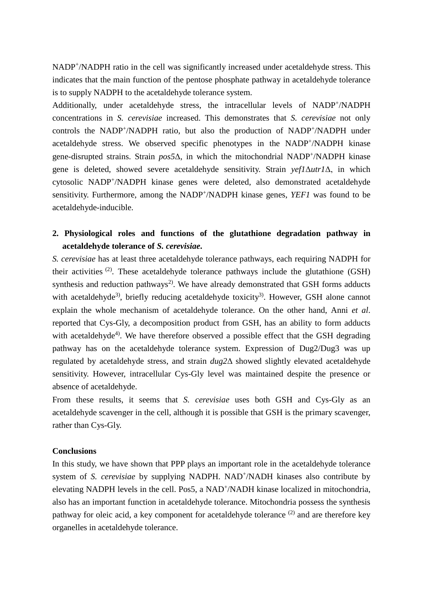NADP<sup>+</sup>/NADPH ratio in the cell was significantly increased under acetaldehyde stress. This indicates that the main function of the pentose phosphate pathway in acetaldehyde tolerance is to supply NADPH to the acetaldehyde tolerance system.

Additionally, under acetaldehyde stress, the intracellular levels of NADP+/NADPH concentrations in *S. cerevisiae* increased. This demonstrates that *S. cerevisiae* not only controls the NADP<sup>+</sup>/NADPH ratio, but also the production of NADP<sup>+</sup>/NADPH under acetaldehyde stress. We observed specific phenotypes in the NADP<sup>+</sup>/NADPH kinase gene-disrupted strains. Strain *pos5*Δ, in which the mitochondrial NADP+/NADPH kinase gene is deleted, showed severe acetaldehyde sensitivity. Strain *yef1*Δ*utr1*Δ, in which cytosolic NADP+/NADPH kinase genes were deleted, also demonstrated acetaldehyde sensitivity. Furthermore, among the NADP<sup>+</sup>/NADPH kinase genes, *YEF1* was found to be acetaldehyde-inducible.

### **2. Physiological roles and functions of the glutathione degradation pathway in acetaldehyde tolerance of** *S. cerevisiae***.**

*S. cerevisiae* has at least three acetaldehyde tolerance pathways, each requiring NADPH for their activities  $(2)$ . These acetaldehyde tolerance pathways include the glutathione (GSH) synthesis and reduction pathways<sup>2)</sup>. We have already demonstrated that GSH forms adducts with acetaldehyde<sup>3)</sup>, briefly reducing acetaldehyde toxicity<sup>3</sup>. However, GSH alone cannot explain the whole mechanism of acetaldehyde tolerance. On the other hand, Anni *et al*. reported that Cys-Gly, a decomposition product from GSH, has an ability to form adducts with acetaldehyde<sup>4)</sup>. We have therefore observed a possible effect that the GSH degrading pathway has on the acetaldehyde tolerance system. Expression of Dug2/Dug3 was up regulated by acetaldehyde stress, and strain *dug2*Δ showed slightly elevated acetaldehyde sensitivity. However, intracellular Cys-Gly level was maintained despite the presence or absence of acetaldehyde.

From these results, it seems that *S. cerevisiae* uses both GSH and Cys-Gly as an acetaldehyde scavenger in the cell, although it is possible that GSH is the primary scavenger, rather than Cys-Gly.

#### **Conclusions**

In this study, we have shown that PPP plays an important role in the acetaldehyde tolerance system of *S. cerevisiae* by supplying NADPH. NAD<sup>+</sup>/NADH kinases also contribute by elevating NADPH levels in the cell. Pos5, a NAD<sup>+</sup>/NADH kinase localized in mitochondria, also has an important function in acetaldehyde tolerance. Mitochondria possess the synthesis pathway for oleic acid, a key component for acetaldehyde tolerance<sup>(2)</sup> and are therefore key organelles in acetaldehyde tolerance.